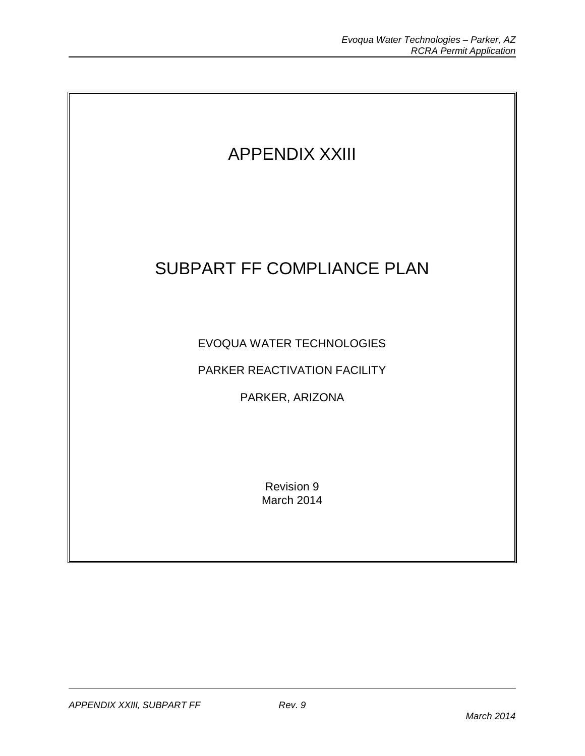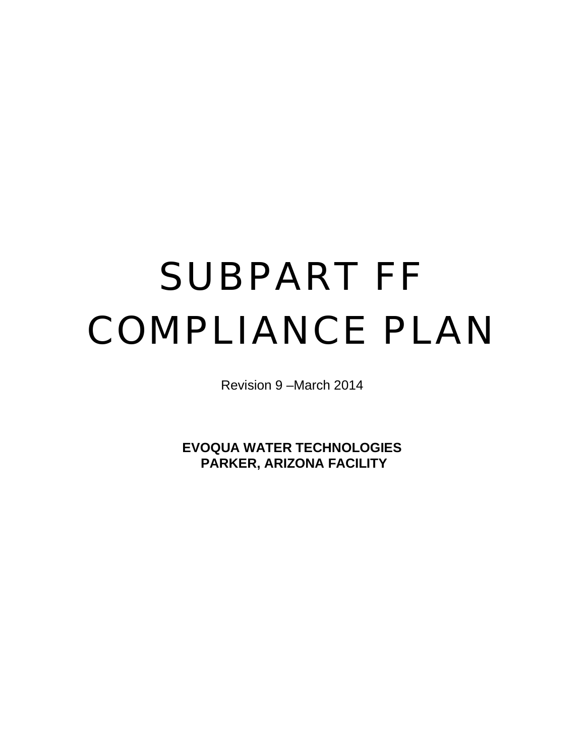# SUBPART FF COMPLIANCE PLAN

Revision 9 –March 2014

**EVOQUA WATER TECHNOLOGIES PARKER, ARIZONA FACILITY**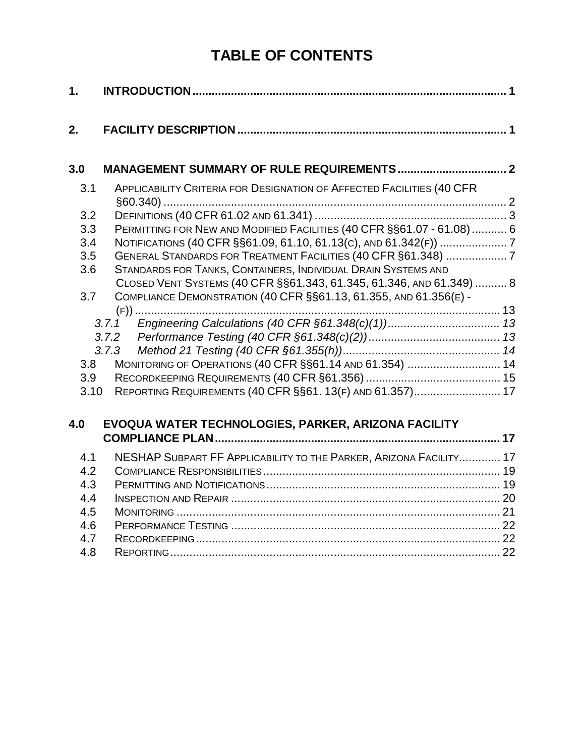# **TABLE OF CONTENTS**

| 1.          |                                                                                                                                           |  |
|-------------|-------------------------------------------------------------------------------------------------------------------------------------------|--|
| 2.          |                                                                                                                                           |  |
| 3.0         |                                                                                                                                           |  |
| 3.1         | APPLICABILITY CRITERIA FOR DESIGNATION OF AFFECTED FACILITIES (40 CFR                                                                     |  |
| 3.2         |                                                                                                                                           |  |
| 3.3         | PERMITTING FOR NEW AND MODIFIED FACILITIES (40 CFR §§61.07 - 61.08)  6                                                                    |  |
| 3.4         |                                                                                                                                           |  |
| 3.5         | GENERAL STANDARDS FOR TREATMENT FACILITIES (40 CFR §61.348) 7                                                                             |  |
| 3.6         | STANDARDS FOR TANKS, CONTAINERS, INDIVIDUAL DRAIN SYSTEMS AND                                                                             |  |
| 3.7         | CLOSED VENT SYSTEMS (40 CFR §§61.343, 61.345, 61.346, AND 61.349)  8<br>COMPLIANCE DEMONSTRATION (40 CFR §§61.13, 61.355, AND 61.356(E) - |  |
|             |                                                                                                                                           |  |
|             | 3.7.1                                                                                                                                     |  |
|             |                                                                                                                                           |  |
|             | 3.7.3                                                                                                                                     |  |
| 3.8         | MONITORING OF OPERATIONS (40 CFR §§61.14 AND 61.354)  14                                                                                  |  |
| 3.9<br>3.10 | REPORTING REQUIREMENTS (40 CFR §§61. 13(F) AND 61.357) 17                                                                                 |  |
| 4.0         | EVOQUA WATER TECHNOLOGIES, PARKER, ARIZONA FACILITY                                                                                       |  |
|             |                                                                                                                                           |  |
| 4.1         | NESHAP SUBPART FF APPLICABILITY TO THE PARKER, ARIZONA FACILITY 17                                                                        |  |
| 4.2         |                                                                                                                                           |  |
| 4.3         |                                                                                                                                           |  |
| 4.4         |                                                                                                                                           |  |
| 4.5         |                                                                                                                                           |  |
| 4.6         |                                                                                                                                           |  |
| 4.7         |                                                                                                                                           |  |
| 4.8         |                                                                                                                                           |  |

4.8 REPORTING ....................................................................................................... 22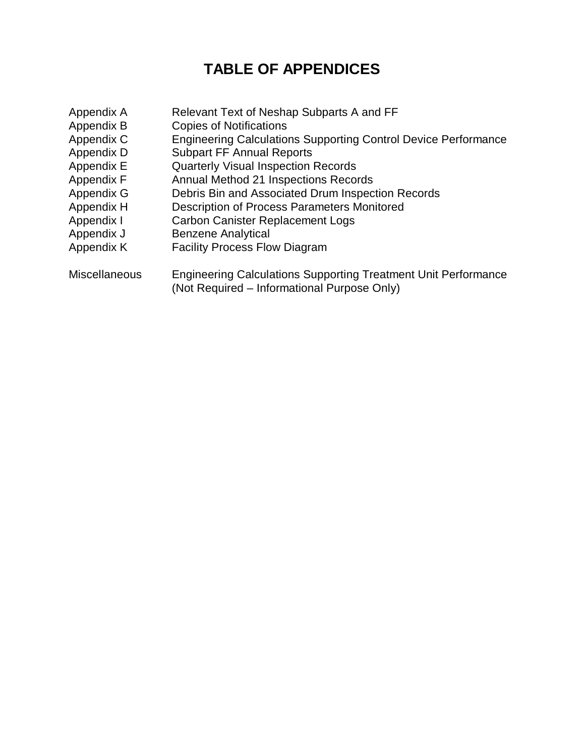# **TABLE OF APPENDICES**

| Appendix A           | Relevant Text of Neshap Subparts A and FF                                                                            |
|----------------------|----------------------------------------------------------------------------------------------------------------------|
| Appendix B           | <b>Copies of Notifications</b>                                                                                       |
| Appendix C           | <b>Engineering Calculations Supporting Control Device Performance</b>                                                |
| Appendix D           | <b>Subpart FF Annual Reports</b>                                                                                     |
| Appendix E           | <b>Quarterly Visual Inspection Records</b>                                                                           |
| Appendix F           | Annual Method 21 Inspections Records                                                                                 |
| Appendix G           | Debris Bin and Associated Drum Inspection Records                                                                    |
| Appendix H           | Description of Process Parameters Monitored                                                                          |
| Appendix I           | Carbon Canister Replacement Logs                                                                                     |
| Appendix J           | <b>Benzene Analytical</b>                                                                                            |
| Appendix K           | <b>Facility Process Flow Diagram</b>                                                                                 |
| <b>Miscellaneous</b> | <b>Engineering Calculations Supporting Treatment Unit Performance</b><br>(Not Required – Informational Purpose Only) |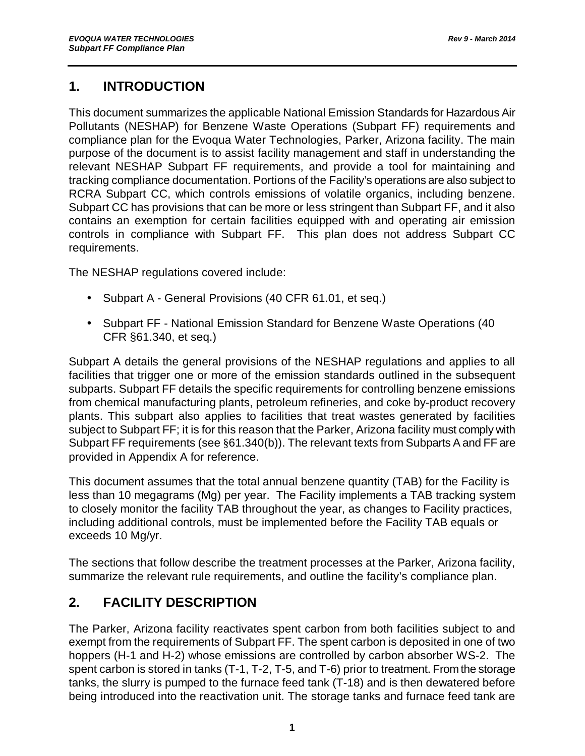# **1. INTRODUCTION**

This document summarizes the applicable National Emission Standards for Hazardous Air Pollutants (NESHAP) for Benzene Waste Operations (Subpart FF) requirements and compliance plan for the Evoqua Water Technologies, Parker, Arizona facility. The main purpose of the document is to assist facility management and staff in understanding the relevant NESHAP Subpart FF requirements, and provide a tool for maintaining and tracking compliance documentation. Portions of the Facility's operations are also subject to RCRA Subpart CC, which controls emissions of volatile organics, including benzene. Subpart CC has provisions that can be more or less stringent than Subpart FF, and it also contains an exemption for certain facilities equipped with and operating air emission controls in compliance with Subpart FF. This plan does not address Subpart CC requirements.

The NESHAP regulations covered include:

- Subpart A General Provisions (40 CFR 61.01, et seq.)
- Subpart FF National Emission Standard for Benzene Waste Operations (40 CFR §61.340, et seq.)

Subpart A details the general provisions of the NESHAP regulations and applies to all facilities that trigger one or more of the emission standards outlined in the subsequent subparts. Subpart FF details the specific requirements for controlling benzene emissions from chemical manufacturing plants, petroleum refineries, and coke by-product recovery plants. This subpart also applies to facilities that treat wastes generated by facilities subject to Subpart FF; it is for this reason that the Parker, Arizona facility must comply with Subpart FF requirements (see §61.340(b)). The relevant texts from Subparts A and FF are provided in Appendix A for reference.

This document assumes that the total annual benzene quantity (TAB) for the Facility is less than 10 megagrams (Mg) per year. The Facility implements a TAB tracking system to closely monitor the facility TAB throughout the year, as changes to Facility practices, including additional controls, must be implemented before the Facility TAB equals or exceeds 10 Mg/yr.

The sections that follow describe the treatment processes at the Parker, Arizona facility, summarize the relevant rule requirements, and outline the facility's compliance plan.

# **2. FACILITY DESCRIPTION**

The Parker, Arizona facility reactivates spent carbon from both facilities subject to and exempt from the requirements of Subpart FF. The spent carbon is deposited in one of two hoppers (H-1 and H-2) whose emissions are controlled by carbon absorber WS-2. The spent carbon is stored in tanks (T-1, T-2, T-5, and T-6) prior to treatment. From the storage tanks, the slurry is pumped to the furnace feed tank (T-18) and is then dewatered before being introduced into the reactivation unit. The storage tanks and furnace feed tank are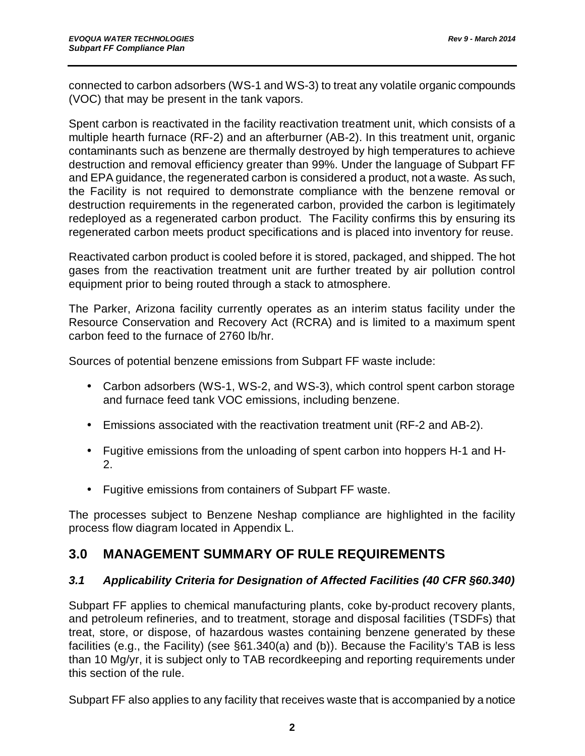connected to carbon adsorbers (WS-1 and WS-3) to treat any volatile organic compounds (VOC) that may be present in the tank vapors.

Spent carbon is reactivated in the facility reactivation treatment unit, which consists of a multiple hearth furnace (RF-2) and an afterburner (AB-2). In this treatment unit, organic contaminants such as benzene are thermally destroyed by high temperatures to achieve destruction and removal efficiency greater than 99%. Under the language of Subpart FF and EPA guidance, the regenerated carbon is considered a product, not a waste. As such, the Facility is not required to demonstrate compliance with the benzene removal or destruction requirements in the regenerated carbon, provided the carbon is legitimately redeployed as a regenerated carbon product. The Facility confirms this by ensuring its regenerated carbon meets product specifications and is placed into inventory for reuse.

Reactivated carbon product is cooled before it is stored, packaged, and shipped. The hot gases from the reactivation treatment unit are further treated by air pollution control equipment prior to being routed through a stack to atmosphere.

The Parker, Arizona facility currently operates as an interim status facility under the Resource Conservation and Recovery Act (RCRA) and is limited to a maximum spent carbon feed to the furnace of 2760 lb/hr.

Sources of potential benzene emissions from Subpart FF waste include:

- Carbon adsorbers (WS-1, WS-2, and WS-3), which control spent carbon storage and furnace feed tank VOC emissions, including benzene.
- Emissions associated with the reactivation treatment unit (RF-2 and AB-2).
- Fugitive emissions from the unloading of spent carbon into hoppers H-1 and H-2.
- Fugitive emissions from containers of Subpart FF waste.

The processes subject to Benzene Neshap compliance are highlighted in the facility process flow diagram located in Appendix L.

## **3.0 MANAGEMENT SUMMARY OF RULE REQUIREMENTS**

#### *3.1 Applicability Criteria for Designation of Affected Facilities (40 CFR §60.340)*

Subpart FF applies to chemical manufacturing plants, coke by-product recovery plants, and petroleum refineries, and to treatment, storage and disposal facilities (TSDFs) that treat, store, or dispose, of hazardous wastes containing benzene generated by these facilities (e.g., the Facility) (see §61.340(a) and (b)). Because the Facility's TAB is less than 10 Mg/yr, it is subject only to TAB recordkeeping and reporting requirements under this section of the rule.

Subpart FF also applies to any facility that receives waste that is accompanied by a notice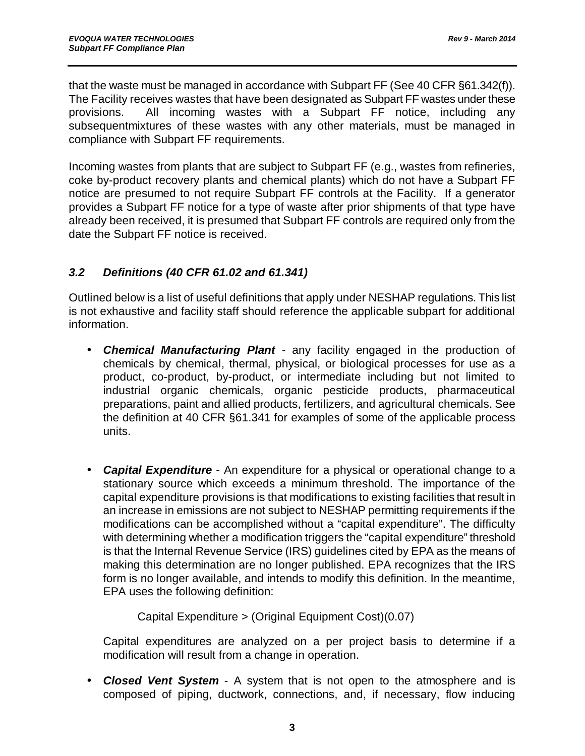that the waste must be managed in accordance with Subpart FF (See 40 CFR §61.342(f)). The Facility receives wastes that have been designated as Subpart FF wastes under these provisions. All incoming wastes with a Subpart FF notice, including any subsequentmixtures of these wastes with any other materials, must be managed in compliance with Subpart FF requirements.

Incoming wastes from plants that are subject to Subpart FF (e.g., wastes from refineries, coke by-product recovery plants and chemical plants) which do not have a Subpart FF notice are presumed to not require Subpart FF controls at the Facility. If a generator provides a Subpart FF notice for a type of waste after prior shipments of that type have already been received, it is presumed that Subpart FF controls are required only from the date the Subpart FF notice is received.

#### *3.2 Definitions (40 CFR 61.02 and 61.341)*

Outlined below is a list of useful definitions that apply under NESHAP regulations. This list is not exhaustive and facility staff should reference the applicable subpart for additional information.

- *Chemical Manufacturing Plant* any facility engaged in the production of chemicals by chemical, thermal, physical, or biological processes for use as a product, co-product, by-product, or intermediate including but not limited to industrial organic chemicals, organic pesticide products, pharmaceutical preparations, paint and allied products, fertilizers, and agricultural chemicals. See the definition at 40 CFR §61.341 for examples of some of the applicable process units.
- **Capital Expenditure** An expenditure for a physical or operational change to a stationary source which exceeds a minimum threshold. The importance of the capital expenditure provisions is that modifications to existing facilities that result in an increase in emissions are not subject to NESHAP permitting requirements if the modifications can be accomplished without a "capital expenditure". The difficulty with determining whether a modification triggers the "capital expenditure" threshold is that the Internal Revenue Service (IRS) guidelines cited by EPA as the means of making this determination are no longer published. EPA recognizes that the IRS form is no longer available, and intends to modify this definition. In the meantime, EPA uses the following definition:

Capital Expenditure > (Original Equipment Cost)(0.07)

Capital expenditures are analyzed on a per project basis to determine if a modification will result from a change in operation.

*Closed Vent System* - A system that is not open to the atmosphere and is composed of piping, ductwork, connections, and, if necessary, flow inducing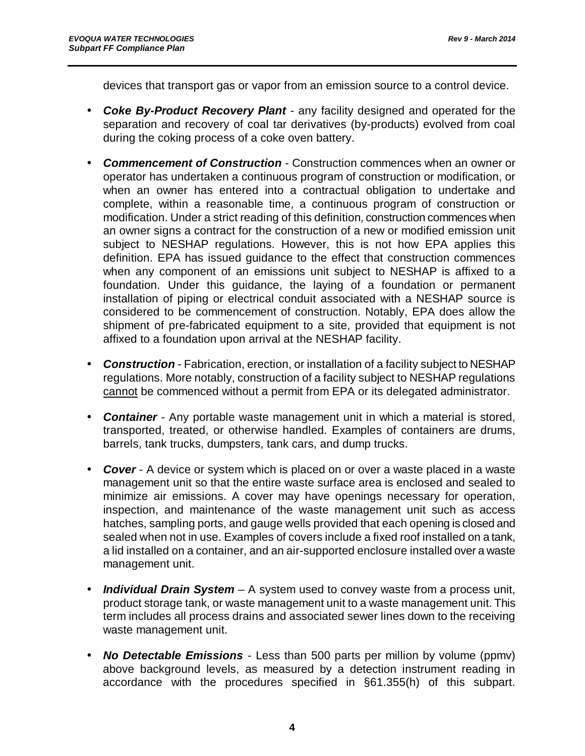devices that transport gas or vapor from an emission source to a control device.

- *Coke By-Product Recovery Plant* any facility designed and operated for the separation and recovery of coal tar derivatives (by-products) evolved from coal during the coking process of a coke oven battery.
- *Commencement of Construction* Construction commences when an owner or operator has undertaken a continuous program of construction or modification, or when an owner has entered into a contractual obligation to undertake and complete, within a reasonable time, a continuous program of construction or modification. Under a strict reading of this definition, construction commences when an owner signs a contract for the construction of a new or modified emission unit subject to NESHAP regulations. However, this is not how EPA applies this definition. EPA has issued guidance to the effect that construction commences when any component of an emissions unit subject to NESHAP is affixed to a foundation. Under this guidance, the laying of a foundation or permanent installation of piping or electrical conduit associated with a NESHAP source is considered to be commencement of construction. Notably, EPA does allow the shipment of pre-fabricated equipment to a site, provided that equipment is not affixed to a foundation upon arrival at the NESHAP facility.
- *Construction* Fabrication, erection, or installation of a facility subject to NESHAP regulations. More notably, construction of a facility subject to NESHAP regulations cannot be commenced without a permit from EPA or its delegated administrator.
- *Container* Any portable waste management unit in which a material is stored, transported, treated, or otherwise handled. Examples of containers are drums, barrels, tank trucks, dumpsters, tank cars, and dump trucks.
- *Cover* A device or system which is placed on or over a waste placed in a waste management unit so that the entire waste surface area is enclosed and sealed to minimize air emissions. A cover may have openings necessary for operation, inspection, and maintenance of the waste management unit such as access hatches, sampling ports, and gauge wells provided that each opening is closed and sealed when not in use. Examples of covers include a fixed roof installed on a tank, a lid installed on a container, and an air-supported enclosure installed over a waste management unit.
- *Individual Drain System* A system used to convey waste from a process unit, product storage tank, or waste management unit to a waste management unit. This term includes all process drains and associated sewer lines down to the receiving waste management unit.
- *No Detectable Emissions -* Less than 500 parts per million by volume (ppmv) above background levels, as measured by a detection instrument reading in accordance with the procedures specified in §61.355(h) of this subpart.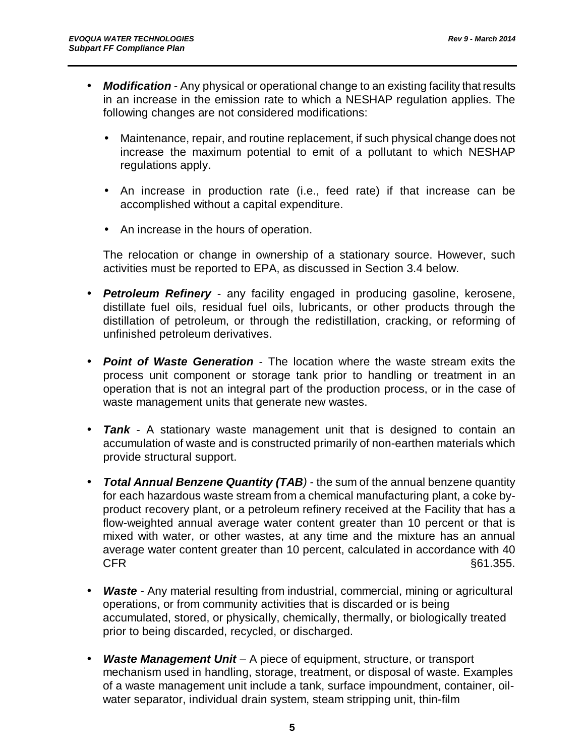- *Modification* Any physical or operational change to an existing facility that results in an increase in the emission rate to which a NESHAP regulation applies. The following changes are not considered modifications:
	- Maintenance, repair, and routine replacement, if such physical change does not increase the maximum potential to emit of a pollutant to which NESHAP regulations apply.
	- An increase in production rate (i.e., feed rate) if that increase can be accomplished without a capital expenditure.
	- An increase in the hours of operation.

The relocation or change in ownership of a stationary source. However, such activities must be reported to EPA, as discussed in Section 3.4 below.

- *Petroleum Refinery* any facility engaged in producing gasoline, kerosene, distillate fuel oils, residual fuel oils, lubricants, or other products through the distillation of petroleum, or through the redistillation, cracking, or reforming of unfinished petroleum derivatives.
- **Point of Waste Generation** The location where the waste stream exits the process unit component or storage tank prior to handling or treatment in an operation that is not an integral part of the production process, or in the case of waste management units that generate new wastes.
- **Tank** A stationary waste management unit that is designed to contain an ¥, accumulation of waste and is constructed primarily of non-earthen materials which provide structural support.
- *Total Annual Benzene Quantity (TAB)* the sum of the annual benzene quantity for each hazardous waste stream from a chemical manufacturing plant, a coke byproduct recovery plant, or a petroleum refinery received at the Facility that has a flow-weighted annual average water content greater than 10 percent or that is mixed with water, or other wastes, at any time and the mixture has an annual average water content greater than 10 percent, calculated in accordance with 40  $CFR$  §61.355.
- *Waste -* Any material resulting from industrial, commercial, mining or agricultural operations, or from community activities that is discarded or is being accumulated, stored, or physically, chemically, thermally, or biologically treated prior to being discarded, recycled, or discharged.
- *Waste Management Unit –* A piece of equipment, structure, or transport mechanism used in handling, storage, treatment, or disposal of waste. Examples of a waste management unit include a tank, surface impoundment, container, oilwater separator, individual drain system, steam stripping unit, thin-film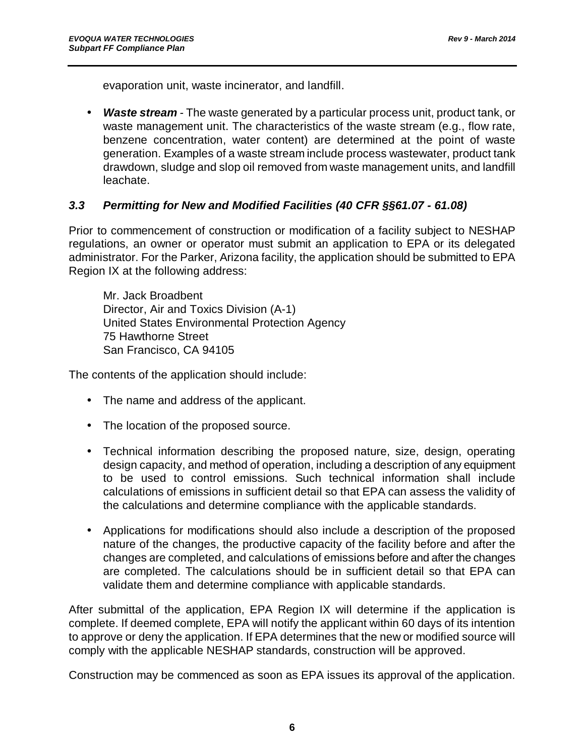evaporation unit, waste incinerator, and landfill.

*Waste stream -* The waste generated by a particular process unit, product tank, or waste management unit. The characteristics of the waste stream (e.g., flow rate, benzene concentration, water content) are determined at the point of waste generation. Examples of a waste stream include process wastewater, product tank drawdown, sludge and slop oil removed from waste management units, and landfill leachate.

#### *3.3 Permitting for New and Modified Facilities (40 CFR §§61.07 - 61.08)*

Prior to commencement of construction or modification of a facility subject to NESHAP regulations, an owner or operator must submit an application to EPA or its delegated administrator. For the Parker, Arizona facility, the application should be submitted to EPA Region IX at the following address:

Mr. Jack Broadbent Director, Air and Toxics Division (A-1) United States Environmental Protection Agency 75 Hawthorne Street San Francisco, CA 94105

The contents of the application should include:

- The name and address of the applicant.
- The location of the proposed source.
- Technical information describing the proposed nature, size, design, operating design capacity, and method of operation, including a description of any equipment to be used to control emissions. Such technical information shall include calculations of emissions in sufficient detail so that EPA can assess the validity of the calculations and determine compliance with the applicable standards.
- Applications for modifications should also include a description of the proposed nature of the changes, the productive capacity of the facility before and after the changes are completed, and calculations of emissions before and after the changes are completed. The calculations should be in sufficient detail so that EPA can validate them and determine compliance with applicable standards.

After submittal of the application, EPA Region IX will determine if the application is complete. If deemed complete, EPA will notify the applicant within 60 days of its intention to approve or deny the application. If EPA determines that the new or modified source will comply with the applicable NESHAP standards, construction will be approved.

Construction may be commenced as soon as EPA issues its approval of the application.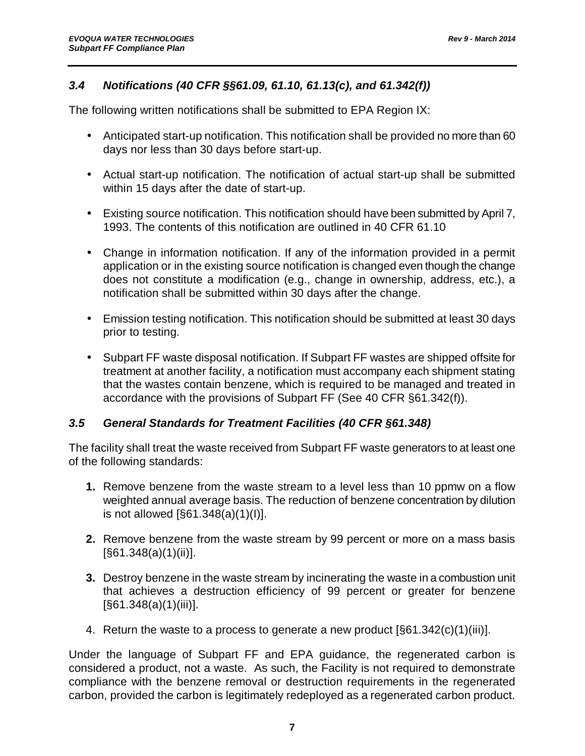#### *3.4 Notifications (40 CFR §§61.09, 61.10, 61.13(c), and 61.342(f))*

The following written notifications shall be submitted to EPA Region IX:

- Anticipated start-up notification. This notification shall be provided no more than 60 days nor less than 30 days before start-up.
- Actual start-up notification. The notification of actual start-up shall be submitted within 15 days after the date of start-up.
- Existing source notification. This notification should have been submitted by April 7, 1993. The contents of this notification are outlined in 40 CFR 61.10
- Change in information notification. If any of the information provided in a permit application or in the existing source notification is changed even though the change does not constitute a modification (e.g., change in ownership, address, etc.), a notification shall be submitted within 30 days after the change.
- Emission testing notification. This notification should be submitted at least 30 days prior to testing.
- Subpart FF waste disposal notification. If Subpart FF wastes are shipped offsite for treatment at another facility, a notification must accompany each shipment stating that the wastes contain benzene, which is required to be managed and treated in accordance with the provisions of Subpart FF (See 40 CFR §61.342(f)).

#### *3.5 General Standards for Treatment Facilities (40 CFR §61.348)*

The facility shall treat the waste received from Subpart FF waste generators to at least one of the following standards:

- **1.** Remove benzene from the waste stream to a level less than 10 ppmw on a flow weighted annual average basis. The reduction of benzene concentration by dilution is not allowed [§61.348(a)(1)(I)].
- **2.** Remove benzene from the waste stream by 99 percent or more on a mass basis [§61.348(a)(1)(ii)].
- **3.** Destroy benzene in the waste stream by incinerating the waste in a combustion unit that achieves a destruction efficiency of 99 percent or greater for benzene [§61.348(a)(1)(iii)].
- 4. Return the waste to a process to generate a new product [§61.342(c)(1)(iii)].

Under the language of Subpart FF and EPA guidance, the regenerated carbon is considered a product, not a waste. As such, the Facility is not required to demonstrate compliance with the benzene removal or destruction requirements in the regenerated carbon, provided the carbon is legitimately redeployed as a regenerated carbon product.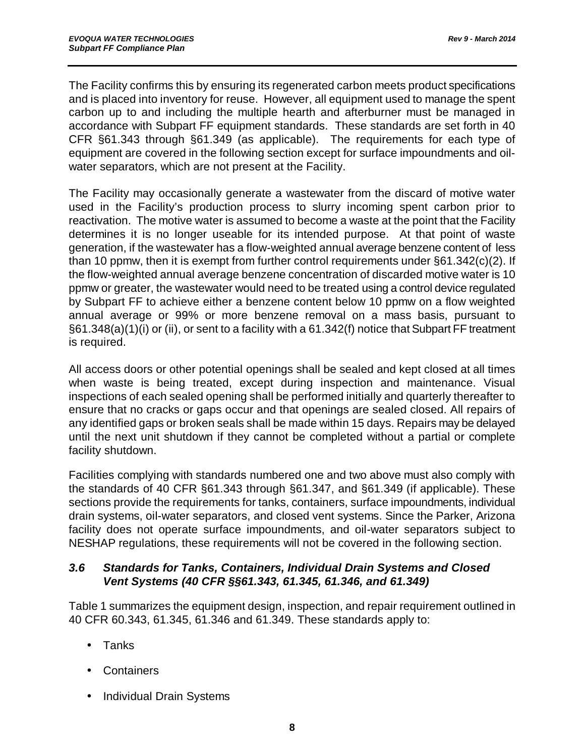The Facility confirms this by ensuring its regenerated carbon meets product specifications and is placed into inventory for reuse. However, all equipment used to manage the spent carbon up to and including the multiple hearth and afterburner must be managed in accordance with Subpart FF equipment standards. These standards are set forth in 40 CFR §61.343 through §61.349 (as applicable). The requirements for each type of equipment are covered in the following section except for surface impoundments and oilwater separators, which are not present at the Facility.

The Facility may occasionally generate a wastewater from the discard of motive water used in the Facility's production process to slurry incoming spent carbon prior to reactivation. The motive water is assumed to become a waste at the point that the Facility determines it is no longer useable for its intended purpose. At that point of waste generation, if the wastewater has a flow-weighted annual average benzene content of less than 10 ppmw, then it is exempt from further control requirements under §61.342(c)(2). If the flow-weighted annual average benzene concentration of discarded motive water is 10 ppmw or greater, the wastewater would need to be treated using a control device regulated by Subpart FF to achieve either a benzene content below 10 ppmw on a flow weighted annual average or 99% or more benzene removal on a mass basis, pursuant to §61.348(a)(1)(i) or (ii), or sent to a facility with a 61.342(f) notice that Subpart FF treatment is required.

All access doors or other potential openings shall be sealed and kept closed at all times when waste is being treated, except during inspection and maintenance. Visual inspections of each sealed opening shall be performed initially and quarterly thereafter to ensure that no cracks or gaps occur and that openings are sealed closed. All repairs of any identified gaps or broken seals shall be made within 15 days. Repairs may be delayed until the next unit shutdown if they cannot be completed without a partial or complete facility shutdown.

Facilities complying with standards numbered one and two above must also comply with the standards of 40 CFR §61.343 through §61.347, and §61.349 (if applicable). These sections provide the requirements for tanks, containers, surface impoundments, individual drain systems, oil-water separators, and closed vent systems. Since the Parker, Arizona facility does not operate surface impoundments, and oil-water separators subject to NESHAP regulations, these requirements will not be covered in the following section.

#### *3.6 Standards for Tanks, Containers, Individual Drain Systems and Closed Vent Systems (40 CFR §§61.343, 61.345, 61.346, and 61.349)*

Table 1 summarizes the equipment design, inspection, and repair requirement outlined in 40 CFR 60.343, 61.345, 61.346 and 61.349. These standards apply to:

- Tanks
- **Containers**
- **Individual Drain Systems**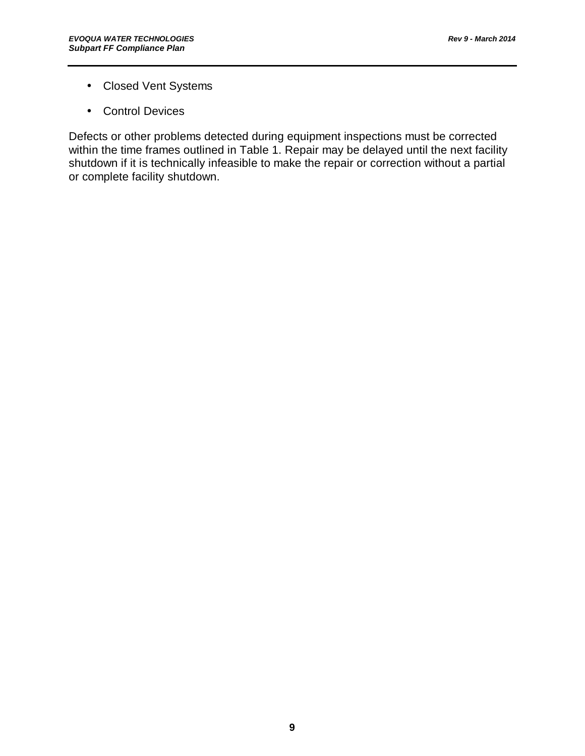- Closed Vent Systems
- Control Devices

Defects or other problems detected during equipment inspections must be corrected within the time frames outlined in Table 1. Repair may be delayed until the next facility shutdown if it is technically infeasible to make the repair or correction without a partial or complete facility shutdown.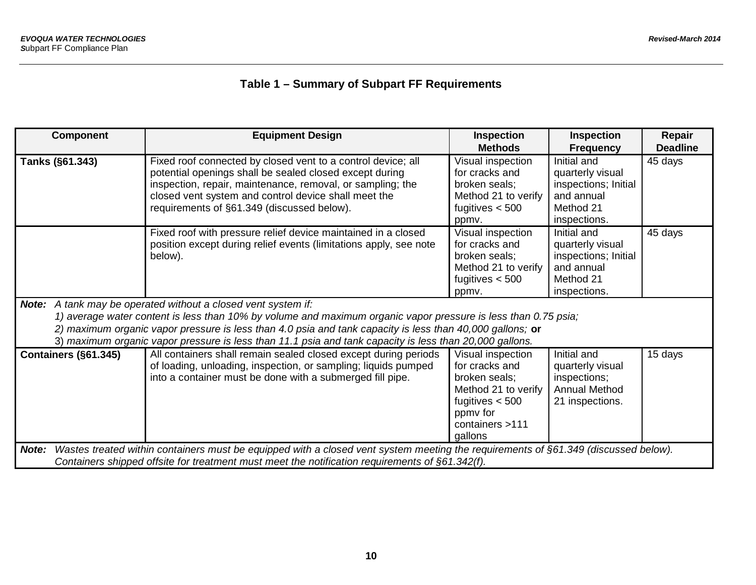# **Table 1 – Summary of Subpart FF Requirements**

| <b>Component</b>                                                                                                                                                                                                                                                                                                                                                                                               | <b>Equipment Design</b>                                                                                                                                                                                                                                                                     | Inspection<br><b>Methods</b>                                                                                                               | Inspection<br><b>Frequency</b>                                                                     | Repair<br><b>Deadline</b> |
|----------------------------------------------------------------------------------------------------------------------------------------------------------------------------------------------------------------------------------------------------------------------------------------------------------------------------------------------------------------------------------------------------------------|---------------------------------------------------------------------------------------------------------------------------------------------------------------------------------------------------------------------------------------------------------------------------------------------|--------------------------------------------------------------------------------------------------------------------------------------------|----------------------------------------------------------------------------------------------------|---------------------------|
| Tanks (§61.343)                                                                                                                                                                                                                                                                                                                                                                                                | Fixed roof connected by closed vent to a control device; all<br>potential openings shall be sealed closed except during<br>inspection, repair, maintenance, removal, or sampling; the<br>closed vent system and control device shall meet the<br>requirements of §61.349 (discussed below). | Visual inspection<br>for cracks and<br>broken seals;<br>Method 21 to verify<br>fugitives $< 500$<br>ppmv.                                  | Initial and<br>quarterly visual<br>inspections; Initial<br>and annual<br>Method 21<br>inspections. | 45 days                   |
|                                                                                                                                                                                                                                                                                                                                                                                                                | Fixed roof with pressure relief device maintained in a closed<br>position except during relief events (limitations apply, see note<br>below).                                                                                                                                               | Visual inspection<br>for cracks and<br>broken seals;<br>Method 21 to verify<br>fugitives $< 500$<br>ppmv.                                  | Initial and<br>quarterly visual<br>inspections; Initial<br>and annual<br>Method 21<br>inspections. | 45 days                   |
| <b>Note:</b> A tank may be operated without a closed vent system if:<br>1) average water content is less than 10% by volume and maximum organic vapor pressure is less than 0.75 psia;<br>2) maximum organic vapor pressure is less than 4.0 psia and tank capacity is less than 40,000 gallons; or<br>3) maximum organic vapor pressure is less than 11.1 psia and tank capacity is less than 20,000 gallons. |                                                                                                                                                                                                                                                                                             |                                                                                                                                            |                                                                                                    |                           |
| Containers (§61.345)                                                                                                                                                                                                                                                                                                                                                                                           | All containers shall remain sealed closed except during periods<br>of loading, unloading, inspection, or sampling; liquids pumped<br>into a container must be done with a submerged fill pipe.                                                                                              | Visual inspection<br>for cracks and<br>broken seals;<br>Method 21 to verify<br>fugitives $< 500$<br>ppmy for<br>containers >111<br>gallons | Initial and<br>quarterly visual<br>inspections;<br><b>Annual Method</b><br>21 inspections.         | 15 days                   |
| Wastes treated within containers must be equipped with a closed vent system meeting the requirements of §61.349 (discussed below).<br>Note:<br>Containers shipped offsite for treatment must meet the notification requirements of §61.342(f).                                                                                                                                                                 |                                                                                                                                                                                                                                                                                             |                                                                                                                                            |                                                                                                    |                           |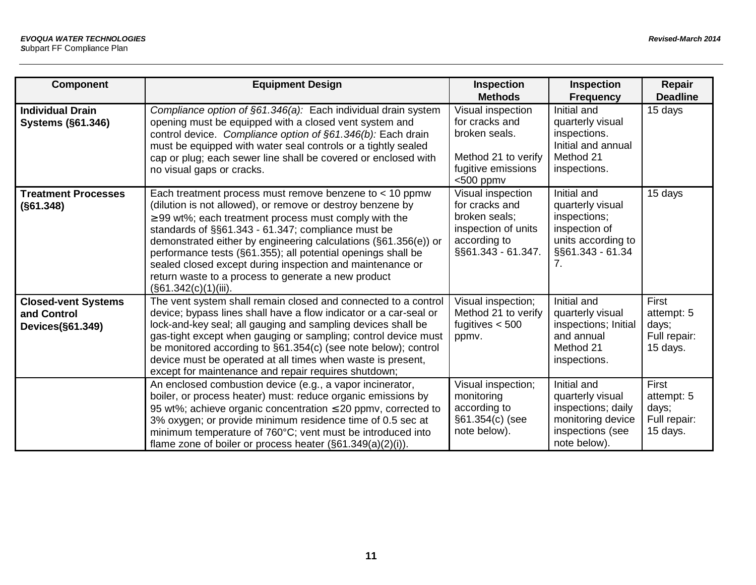| <b>Component</b>                                              | <b>Equipment Design</b>                                                                                                                                                                                                                                                                                                                                                                                                                                                                                                            | <b>Inspection</b><br><b>Methods</b>                                                                                  | <b>Inspection</b><br><b>Frequency</b>                                                                            | Repair<br><b>Deadline</b>                                |
|---------------------------------------------------------------|------------------------------------------------------------------------------------------------------------------------------------------------------------------------------------------------------------------------------------------------------------------------------------------------------------------------------------------------------------------------------------------------------------------------------------------------------------------------------------------------------------------------------------|----------------------------------------------------------------------------------------------------------------------|------------------------------------------------------------------------------------------------------------------|----------------------------------------------------------|
| <b>Individual Drain</b><br><b>Systems (§61.346)</b>           | Compliance option of §61.346(a): Each individual drain system<br>opening must be equipped with a closed vent system and<br>control device. Compliance option of §61.346(b): Each drain<br>must be equipped with water seal controls or a tightly sealed<br>cap or plug; each sewer line shall be covered or enclosed with<br>no visual gaps or cracks.                                                                                                                                                                             | Visual inspection<br>for cracks and<br>broken seals.<br>Method 21 to verify<br>fugitive emissions<br>$<$ 500 ppm $v$ | Initial and<br>quarterly visual<br>inspections.<br>Initial and annual<br>Method 21<br>inspections.               | 15 days                                                  |
| <b>Treatment Processes</b><br>(S61.348)                       | Each treatment process must remove benzene to < 10 ppmw<br>(dilution is not allowed), or remove or destroy benzene by<br><sup>3</sup> 99 wt%; each treatment process must comply with the<br>standards of §§61.343 - 61.347; compliance must be<br>demonstrated either by engineering calculations (§61.356(e)) or<br>performance tests (§61.355); all potential openings shall be<br>sealed closed except during inspection and maintenance or<br>return waste to a process to generate a new product<br>$(S61.342(c)(1)(iii))$ . | Visual inspection<br>for cracks and<br>broken seals;<br>inspection of units<br>according to<br>§§61.343 - 61.347.    | Initial and<br>quarterly visual<br>inspections;<br>inspection of<br>units according to<br>§§61.343 - 61.34<br>7. | 15 days                                                  |
| <b>Closed-vent Systems</b><br>and Control<br>Devices(§61.349) | The vent system shall remain closed and connected to a control<br>device; bypass lines shall have a flow indicator or a car-seal or<br>lock-and-key seal; all gauging and sampling devices shall be<br>gas-tight except when gauging or sampling; control device must<br>be monitored according to §61.354(c) (see note below); control<br>device must be operated at all times when waste is present,<br>except for maintenance and repair requires shutdown;                                                                     | Visual inspection;<br>Method 21 to verify<br>fugitives $< 500$<br>ppmv.                                              | Initial and<br>quarterly visual<br>inspections; Initial<br>and annual<br>Method 21<br>inspections.               | First<br>attempt: 5<br>days;<br>Full repair:<br>15 days. |
|                                                               | An enclosed combustion device (e.g., a vapor incinerator,<br>boiler, or process heater) must: reduce organic emissions by<br>95 wt%; achieve organic concentration £ 20 ppmv, corrected to<br>3% oxygen; or provide minimum residence time of 0.5 sec at<br>minimum temperature of 760°C; vent must be introduced into<br>flame zone of boiler or process heater $(\S 61.349(a)(2)(i)).$                                                                                                                                           | Visual inspection;<br>monitoring<br>according to<br>§61.354(c) (see<br>note below).                                  | Initial and<br>quarterly visual<br>inspections; daily<br>monitoring device<br>inspections (see<br>note below).   | First<br>attempt: 5<br>days;<br>Full repair:<br>15 days. |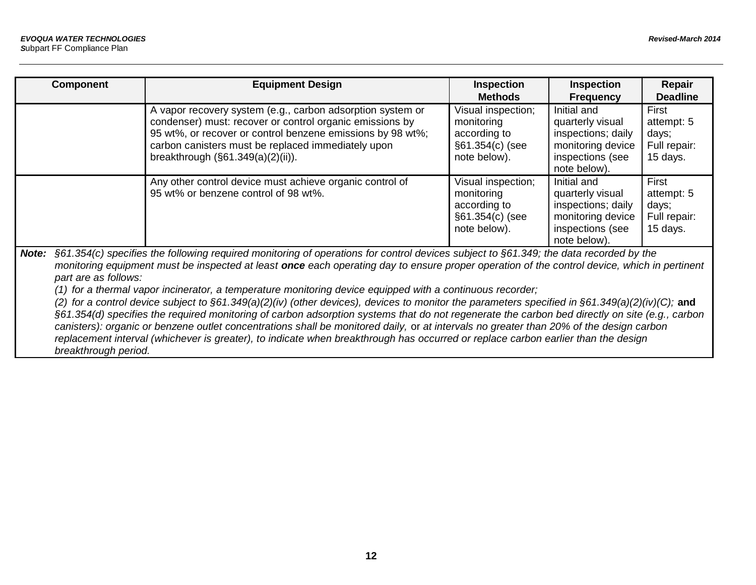| <b>Component</b> | <b>Equipment Design</b>                                                                                                                                                                                                                                                                                                                                                                                                           | <b>Inspection</b><br><b>Methods</b>                                                   | <b>Inspection</b><br><b>Frequency</b>                                                                          | Repair<br><b>Deadline</b>                                |
|------------------|-----------------------------------------------------------------------------------------------------------------------------------------------------------------------------------------------------------------------------------------------------------------------------------------------------------------------------------------------------------------------------------------------------------------------------------|---------------------------------------------------------------------------------------|----------------------------------------------------------------------------------------------------------------|----------------------------------------------------------|
|                  | A vapor recovery system (e.g., carbon adsorption system or<br>condenser) must: recover or control organic emissions by<br>95 wt%, or recover or control benzene emissions by 98 wt%;<br>carbon canisters must be replaced immediately upon<br>breakthrough $(\S61.349(a)(2)(ii))$ .                                                                                                                                               | Visual inspection;<br>monitoring<br>according to<br>$§61.354(c)$ (see<br>note below). | Initial and<br>quarterly visual<br>inspections; daily<br>monitoring device<br>inspections (see<br>note below). | First<br>attempt: 5<br>days;<br>Full repair:<br>15 days. |
|                  | Any other control device must achieve organic control of<br>95 wt% or benzene control of 98 wt%.                                                                                                                                                                                                                                                                                                                                  | Visual inspection;<br>monitoring<br>according to<br>$§61.354(c)$ (see<br>note below). | Initial and<br>quarterly visual<br>inspections; daily<br>monitoring device<br>inspections (see<br>note below). | First<br>attempt: 5<br>days;<br>Full repair:<br>15 days. |
| Note:            | §61.354(c) specifies the following required monitoring of operations for control devices subject to §61.349; the data recorded by the<br>monitoring equipment must be inspected at least <b>once</b> each operating day to ensure proper operation of the control device, which in pertinent<br>part are as follows:<br>(1) for a thermal vapor incinerator, a temperature monitoring device equipped with a continuous recorder; |                                                                                       |                                                                                                                |                                                          |

*(2) for a control device subject to §61.349(a)(2)(iv) (other devices), devices to monitor the parameters specified in §61.349(a)(2)(iv)(C);* **and** *§61.354(d) specifies the required monitoring of carbon adsorption systems that do not regenerate the carbon bed directly on site (e.g., carbon canisters): organic or benzene outlet concentrations shall be monitored daily,* or *at intervals no greater than 20% of the design carbon replacement interval (whichever is greater), to indicate when breakthrough has occurred or replace carbon earlier than the design breakthrough period.*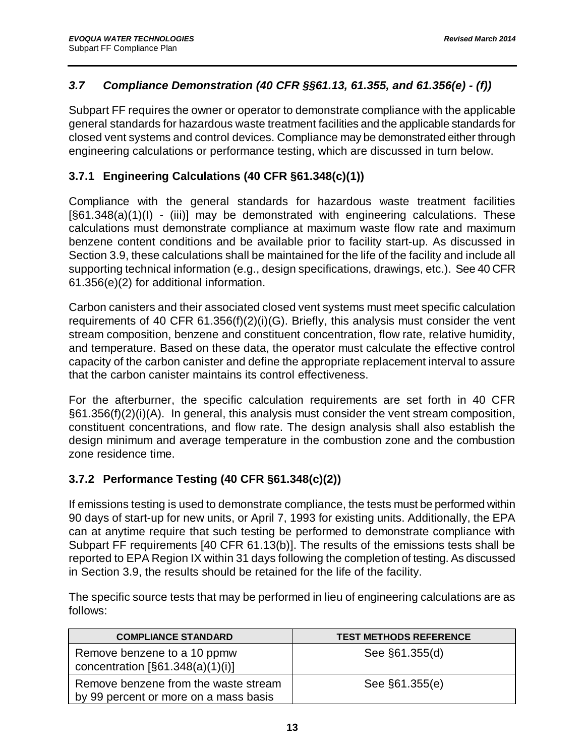#### *3.7 Compliance Demonstration (40 CFR §§61.13, 61.355, and 61.356(e) - (f))*

Subpart FF requires the owner or operator to demonstrate compliance with the applicable general standards for hazardous waste treatment facilities and the applicable standards for closed vent systems and control devices. Compliance may be demonstrated either through engineering calculations or performance testing, which are discussed in turn below.

#### **3.7.1 Engineering Calculations (40 CFR §61.348(c)(1))**

Compliance with the general standards for hazardous waste treatment facilities [§61.348(a)(1)(I) - (iii)] may be demonstrated with engineering calculations. These calculations must demonstrate compliance at maximum waste flow rate and maximum benzene content conditions and be available prior to facility start-up. As discussed in Section 3.9, these calculations shall be maintained for the life of the facility and include all supporting technical information (e.g., design specifications, drawings, etc.). See 40 CFR 61.356(e)(2) for additional information.

Carbon canisters and their associated closed vent systems must meet specific calculation requirements of 40 CFR 61.356(f)(2)(i)(G). Briefly, this analysis must consider the vent stream composition, benzene and constituent concentration, flow rate, relative humidity, and temperature. Based on these data, the operator must calculate the effective control capacity of the carbon canister and define the appropriate replacement interval to assure that the carbon canister maintains its control effectiveness.

For the afterburner, the specific calculation requirements are set forth in 40 CFR §61.356(f)(2)(i)(A). In general, this analysis must consider the vent stream composition, constituent concentrations, and flow rate. The design analysis shall also establish the design minimum and average temperature in the combustion zone and the combustion zone residence time.

#### **3.7.2 Performance Testing (40 CFR §61.348(c)(2))**

If emissions testing is used to demonstrate compliance, the tests must be performed within 90 days of start-up for new units, or April 7, 1993 for existing units. Additionally, the EPA can at anytime require that such testing be performed to demonstrate compliance with Subpart FF requirements [40 CFR 61.13(b)]. The results of the emissions tests shall be reported to EPA Region IX within 31 days following the completion of testing. As discussed in Section 3.9, the results should be retained for the life of the facility.

The specific source tests that may be performed in lieu of engineering calculations are as follows:

| <b>COMPLIANCE STANDARD</b>                                                    | <b>TEST METHODS REFERENCE</b> |
|-------------------------------------------------------------------------------|-------------------------------|
| Remove benzene to a 10 ppmw<br>concentration $[§61.348(a)(1)(i)]$             | See §61.355(d)                |
| Remove benzene from the waste stream<br>by 99 percent or more on a mass basis | See §61.355(e)                |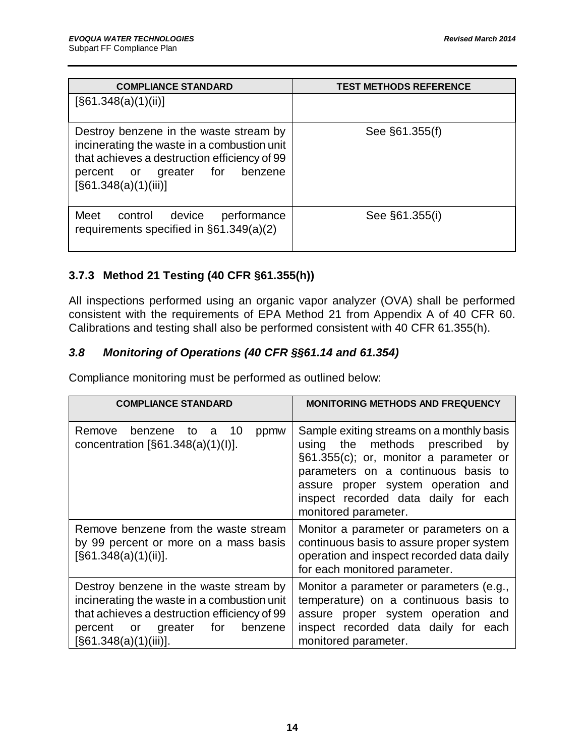| <b>COMPLIANCE STANDARD</b>                                                                                                                                                                            | <b>TEST METHODS REFERENCE</b> |
|-------------------------------------------------------------------------------------------------------------------------------------------------------------------------------------------------------|-------------------------------|
| [§61.348(a)(1)(ii)]                                                                                                                                                                                   |                               |
| Destroy benzene in the waste stream by<br>incinerating the waste in a combustion unit<br>that achieves a destruction efficiency of 99<br>benzene<br>for<br>percent or greater<br>[§61.348(a)(1)(iii)] | See §61.355(f)                |
| Meet<br>control<br>device<br>performance<br>requirements specified in $\S61.349(a)(2)$                                                                                                                | See §61.355(i)                |

#### **3.7.3 Method 21 Testing (40 CFR §61.355(h))**

All inspections performed using an organic vapor analyzer (OVA) shall be performed consistent with the requirements of EPA Method 21 from Appendix A of 40 CFR 60. Calibrations and testing shall also be performed consistent with 40 CFR 61.355(h).

#### *3.8 Monitoring of Operations (40 CFR §§61.14 and 61.354)*

Compliance monitoring must be performed as outlined below:

| <b>COMPLIANCE STANDARD</b>                                                                                                                                                                                   | <b>MONITORING METHODS AND FREQUENCY</b>                                                                                                                                                                                                                                |
|--------------------------------------------------------------------------------------------------------------------------------------------------------------------------------------------------------------|------------------------------------------------------------------------------------------------------------------------------------------------------------------------------------------------------------------------------------------------------------------------|
| Remove<br>benzene<br>to<br>10<br>a a<br>ppmw<br>concentration $[§61.348(a)(1)(I)].$                                                                                                                          | Sample exiting streams on a monthly basis<br>using the methods prescribed<br>by<br>§61.355(c); or, monitor a parameter or<br>parameters on a continuous basis to<br>assure proper system operation and<br>inspect recorded data daily for each<br>monitored parameter. |
| Remove benzene from the waste stream<br>by 99 percent or more on a mass basis<br>[S61.348(a)(1)(ii)].                                                                                                        | Monitor a parameter or parameters on a<br>continuous basis to assure proper system<br>operation and inspect recorded data daily<br>for each monitored parameter.                                                                                                       |
| Destroy benzene in the waste stream by<br>incinerating the waste in a combustion unit<br>that achieves a destruction efficiency of 99<br>for<br>greater<br>benzene<br>percent<br>or<br>[§61.348(a)(1)(iii)]. | Monitor a parameter or parameters (e.g.,<br>temperature) on a continuous basis to<br>assure proper system operation and<br>inspect recorded data daily for each<br>monitored parameter.                                                                                |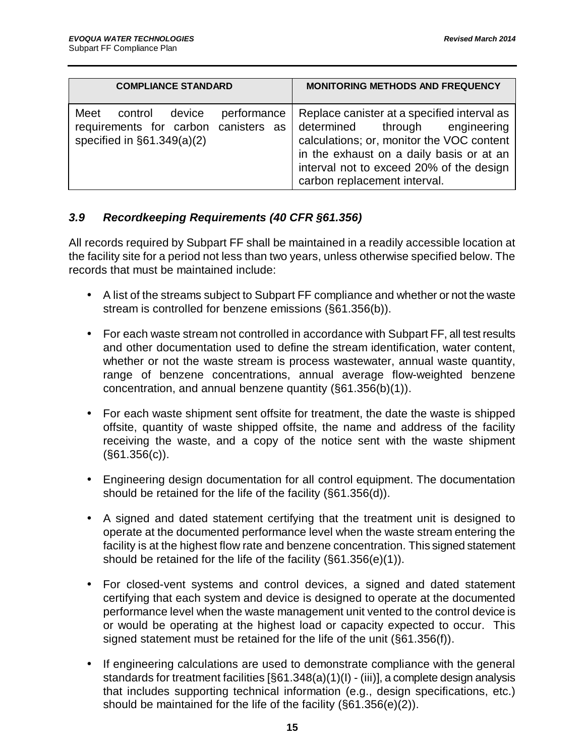| <b>COMPLIANCE STANDARD</b>           | <b>MONITORING METHODS AND FREQUENCY</b>     |
|--------------------------------------|---------------------------------------------|
| Meet                                 | Replace canister at a specified interval as |
| control                              | determined through engineering              |
| performance                          | calculations; or, monitor the VOC content   |
| device                               | in the exhaust on a daily basis or at an    |
| requirements for carbon canisters as | interval not to exceed 20% of the design    |
| specified in $\S61.349(a)(2)$        | carbon replacement interval.                |

#### *3.9 Recordkeeping Requirements (40 CFR §61.356)*

All records required by Subpart FF shall be maintained in a readily accessible location at the facility site for a period not less than two years, unless otherwise specified below. The records that must be maintained include:

- A list of the streams subject to Subpart FF compliance and whether or not the waste stream is controlled for benzene emissions (§61.356(b)).
- For each waste stream not controlled in accordance with Subpart FF, all test results and other documentation used to define the stream identification, water content, whether or not the waste stream is process wastewater, annual waste quantity, range of benzene concentrations, annual average flow-weighted benzene concentration, and annual benzene quantity (§61.356(b)(1)).
- For each waste shipment sent offsite for treatment, the date the waste is shipped offsite, quantity of waste shipped offsite, the name and address of the facility receiving the waste, and a copy of the notice sent with the waste shipment  $(S61.356(c))$ .
- Engineering design documentation for all control equipment. The documentation should be retained for the life of the facility (§61.356(d)).
- A signed and dated statement certifying that the treatment unit is designed to operate at the documented performance level when the waste stream entering the facility is at the highest flow rate and benzene concentration. This signed statement should be retained for the life of the facility (§61.356(e)(1)).
- For closed-vent systems and control devices, a signed and dated statement certifying that each system and device is designed to operate at the documented performance level when the waste management unit vented to the control device is or would be operating at the highest load or capacity expected to occur. This signed statement must be retained for the life of the unit (§61.356(f)).
- If engineering calculations are used to demonstrate compliance with the general standards for treatment facilities [§61.348(a)(1)(I) - (iii)], a complete design analysis that includes supporting technical information (e.g., design specifications, etc.) should be maintained for the life of the facility (§61.356(e)(2)).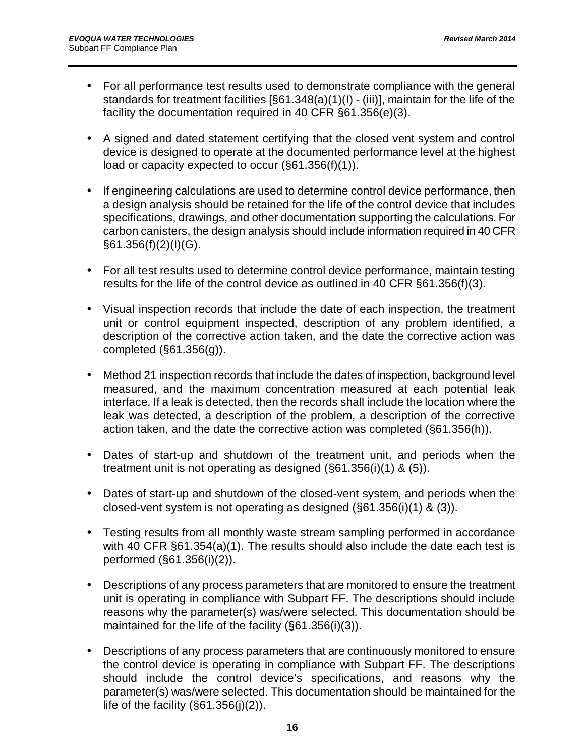- For all performance test results used to demonstrate compliance with the general standards for treatment facilities [§61.348(a)(1)(I) - (iii)], maintain for the life of the facility the documentation required in 40 CFR §61.356(e)(3).
- A signed and dated statement certifying that the closed vent system and control device is designed to operate at the documented performance level at the highest load or capacity expected to occur (§61.356(f)(1)).
- If engineering calculations are used to determine control device performance, then a design analysis should be retained for the life of the control device that includes specifications, drawings, and other documentation supporting the calculations. For carbon canisters, the design analysis should include information required in 40 CFR  $§61.356(f)(2)(I)(G).$
- For all test results used to determine control device performance, maintain testing results for the life of the control device as outlined in 40 CFR §61.356(f)(3).
- Visual inspection records that include the date of each inspection, the treatment unit or control equipment inspected, description of any problem identified, a description of the corrective action taken, and the date the corrective action was completed (§61.356(g)).
- Method 21 inspection records that include the dates of inspection, background level measured, and the maximum concentration measured at each potential leak interface. If a leak is detected, then the records shall include the location where the leak was detected, a description of the problem, a description of the corrective action taken, and the date the corrective action was completed (§61.356(h)).
- Dates of start-up and shutdown of the treatment unit, and periods when the treatment unit is not operating as designed (§61.356(i)(1) & (5)).
- Dates of start-up and shutdown of the closed-vent system, and periods when the closed-vent system is not operating as designed (§61.356(i)(1) & (3)).
- Testing results from all monthly waste stream sampling performed in accordance with 40 CFR §61.354(a)(1). The results should also include the date each test is performed (§61.356(i)(2)).
- Descriptions of any process parameters that are monitored to ensure the treatment unit is operating in compliance with Subpart FF. The descriptions should include reasons why the parameter(s) was/were selected. This documentation should be maintained for the life of the facility (§61.356(i)(3)).
- Descriptions of any process parameters that are continuously monitored to ensure the control device is operating in compliance with Subpart FF. The descriptions should include the control device's specifications, and reasons why the parameter(s) was/were selected. This documentation should be maintained for the life of the facility  $(S61.356(i)(2))$ .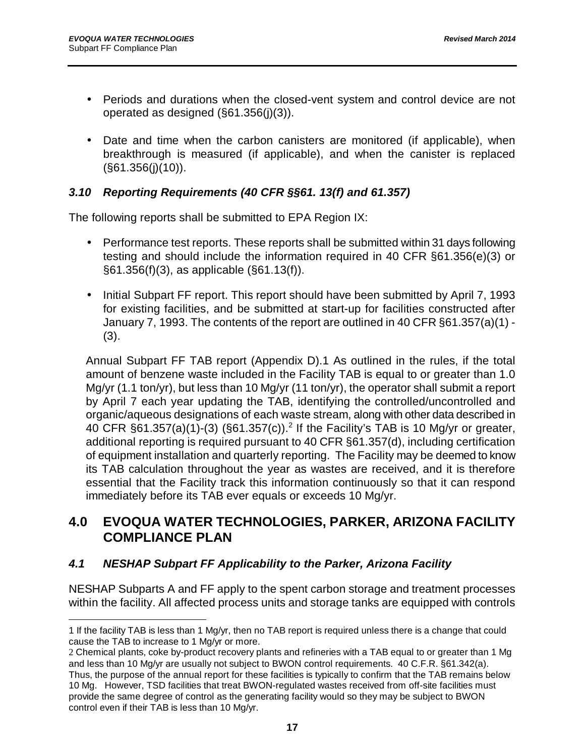- Periods and durations when the closed-vent system and control device are not operated as designed (§61.356(j)(3)).
- Date and time when the carbon canisters are monitored (if applicable), when breakthrough is measured (if applicable), and when the canister is replaced  $(S61.356(j)(10))$ .

#### *3.10 Reporting Requirements (40 CFR §§61. 13(f) and 61.357)*

The following reports shall be submitted to EPA Region IX:

- Performance test reports. These reports shall be submitted within 31 days following testing and should include the information required in 40 CFR §61.356(e)(3) or §61.356(f)(3), as applicable (§61.13(f)).
- Initial Subpart FF report. This report should have been submitted by April 7, 1993 for existing facilities, and be submitted at start-up for facilities constructed after January 7, 1993. The contents of the report are outlined in 40 CFR §61.357(a)(1) - (3).

Annual Subpart FF TAB report (Appendix D).1 As outlined in the rules, if the total amount of benzene waste included in the Facility TAB is equal to or greater than 1.0 Mg/yr (1.1 ton/yr), but less than 10 Mg/yr (11 ton/yr), the operator shall submit a report by April 7 each year updating the TAB, identifying the controlled/uncontrolled and organic/aqueous designations of each waste stream, along with other data described in 40 CFR  $\S61.357(a)(1)-(3)$  ( $\S61.357(c)$ ).<sup>2</sup> If the Facility's TAB is 10 Mg/yr or greater, additional reporting is required pursuant to 40 CFR §61.357(d), including certification of equipment installation and quarterly reporting. The Facility may be deemed to know its TAB calculation throughout the year as wastes are received, and it is therefore essential that the Facility track this information continuously so that it can respond immediately before its TAB ever equals or exceeds 10 Mg/yr.

## **4.0 EVOQUA WATER TECHNOLOGIES, PARKER, ARIZONA FACILITY COMPLIANCE PLAN**

#### *4.1 NESHAP Subpart FF Applicability to the Parker, Arizona Facility*

NESHAP Subparts A and FF apply to the spent carbon storage and treatment processes within the facility. All affected process units and storage tanks are equipped with controls

<sup>1</sup> If the facility TAB is less than 1 Mg/yr, then no TAB report is required unless there is a change that could cause the TAB to increase to 1 Mg/yr or more.

<sup>2</sup> Chemical plants, coke by-product recovery plants and refineries with a TAB equal to or greater than 1 Mg and less than 10 Mg/yr are usually not subject to BWON control requirements. 40 C.F.R. §61.342(a). Thus, the purpose of the annual report for these facilities is typically to confirm that the TAB remains below 10 Mg. However, TSD facilities that treat BWON-regulated wastes received from off-site facilities must provide the same degree of control as the generating facility would so they may be subject to BWON control even if their TAB is less than 10 Mg/yr.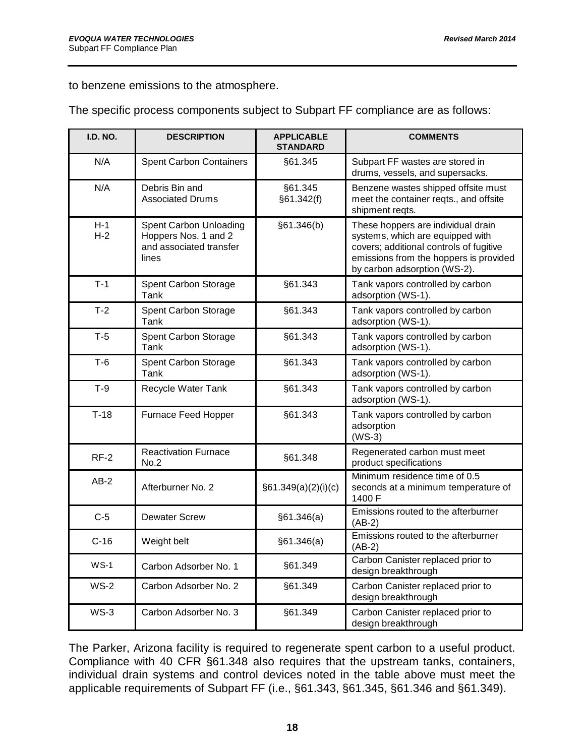to benzene emissions to the atmosphere.

The specific process components subject to Subpart FF compliance are as follows:

| <b>I.D. NO.</b> | <b>DESCRIPTION</b>                                                                        | <b>APPLICABLE</b><br><b>STANDARD</b> | <b>COMMENTS</b>                                                                                                                                                                             |
|-----------------|-------------------------------------------------------------------------------------------|--------------------------------------|---------------------------------------------------------------------------------------------------------------------------------------------------------------------------------------------|
| N/A             | <b>Spent Carbon Containers</b>                                                            | §61.345                              | Subpart FF wastes are stored in<br>drums, vessels, and supersacks.                                                                                                                          |
| N/A             | Debris Bin and<br><b>Associated Drums</b>                                                 | §61.345<br>§61.342(f)                | Benzene wastes shipped offsite must<br>meet the container reqts., and offsite<br>shipment reqts.                                                                                            |
| $H-1$<br>$H-2$  | <b>Spent Carbon Unloading</b><br>Hoppers Nos. 1 and 2<br>and associated transfer<br>lines | §61.346(b)                           | These hoppers are individual drain<br>systems, which are equipped with<br>covers; additional controls of fugitive<br>emissions from the hoppers is provided<br>by carbon adsorption (WS-2). |
| $T-1$           | Spent Carbon Storage<br>Tank                                                              | §61.343                              | Tank vapors controlled by carbon<br>adsorption (WS-1).                                                                                                                                      |
| $T-2$           | Spent Carbon Storage<br>Tank                                                              | §61.343                              | Tank vapors controlled by carbon<br>adsorption (WS-1).                                                                                                                                      |
| $T-5$           | Spent Carbon Storage<br>Tank                                                              | §61.343                              | Tank vapors controlled by carbon<br>adsorption (WS-1).                                                                                                                                      |
| $T-6$           | Spent Carbon Storage<br>Tank                                                              | §61.343                              | Tank vapors controlled by carbon<br>adsorption (WS-1).                                                                                                                                      |
| $T-9$           | Recycle Water Tank                                                                        | §61.343                              | Tank vapors controlled by carbon<br>adsorption (WS-1).                                                                                                                                      |
| $T-18$          | Furnace Feed Hopper                                                                       | §61.343                              | Tank vapors controlled by carbon<br>adsorption<br>$(WS-3)$                                                                                                                                  |
| $RF-2$          | <b>Reactivation Furnace</b><br>No.2                                                       | §61.348                              | Regenerated carbon must meet<br>product specifications                                                                                                                                      |
| $AB-2$          | Afterburner No. 2                                                                         | §61.349(a)(2)(i)(c)                  | Minimum residence time of 0.5<br>seconds at a minimum temperature of<br>1400 F                                                                                                              |
| $C-5$           | <b>Dewater Screw</b>                                                                      | §61.346(a)                           | Emissions routed to the afterburner<br>$(AB-2)$                                                                                                                                             |
| $C-16$          | Weight belt                                                                               | §61.346(a)                           | Emissions routed to the afterburner<br>$(AB-2)$                                                                                                                                             |
| $WS-1$          | Carbon Adsorber No. 1                                                                     | §61.349                              | Carbon Canister replaced prior to<br>design breakthrough                                                                                                                                    |
| $WS-2$          | Carbon Adsorber No. 2                                                                     | §61.349                              | Carbon Canister replaced prior to<br>design breakthrough                                                                                                                                    |
| $WS-3$          | Carbon Adsorber No. 3                                                                     | §61.349                              | Carbon Canister replaced prior to<br>design breakthrough                                                                                                                                    |

The Parker, Arizona facility is required to regenerate spent carbon to a useful product. Compliance with 40 CFR §61.348 also requires that the upstream tanks, containers, individual drain systems and control devices noted in the table above must meet the applicable requirements of Subpart FF (i.e., §61.343, §61.345, §61.346 and §61.349).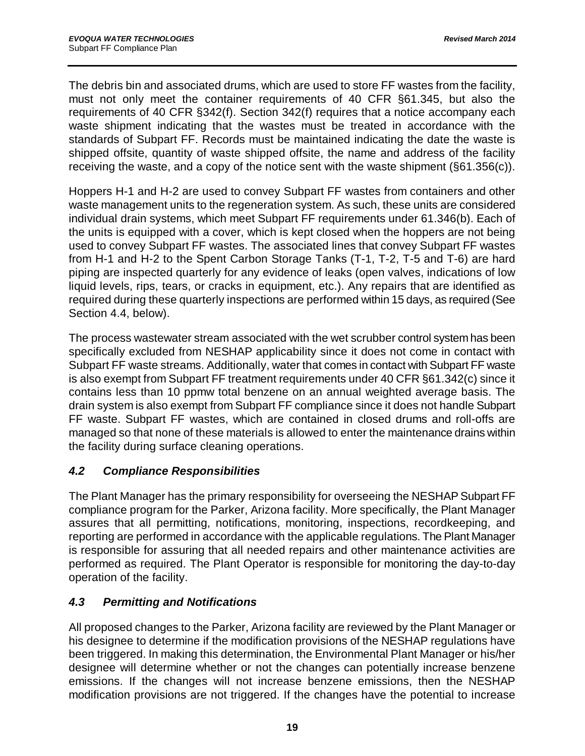The debris bin and associated drums, which are used to store FF wastes from the facility, must not only meet the container requirements of 40 CFR §61.345, but also the requirements of 40 CFR §342(f). Section 342(f) requires that a notice accompany each waste shipment indicating that the wastes must be treated in accordance with the standards of Subpart FF. Records must be maintained indicating the date the waste is shipped offsite, quantity of waste shipped offsite, the name and address of the facility receiving the waste, and a copy of the notice sent with the waste shipment (§61.356(c)).

Hoppers H-1 and H-2 are used to convey Subpart FF wastes from containers and other waste management units to the regeneration system. As such, these units are considered individual drain systems, which meet Subpart FF requirements under 61.346(b). Each of the units is equipped with a cover, which is kept closed when the hoppers are not being used to convey Subpart FF wastes. The associated lines that convey Subpart FF wastes from H-1 and H-2 to the Spent Carbon Storage Tanks (T-1, T-2, T-5 and T-6) are hard piping are inspected quarterly for any evidence of leaks (open valves, indications of low liquid levels, rips, tears, or cracks in equipment, etc.). Any repairs that are identified as required during these quarterly inspections are performed within 15 days, as required (See Section 4.4, below).

The process wastewater stream associated with the wet scrubber control system has been specifically excluded from NESHAP applicability since it does not come in contact with Subpart FF waste streams. Additionally, water that comes in contact with Subpart FF waste is also exempt from Subpart FF treatment requirements under 40 CFR §61.342(c) since it contains less than 10 ppmw total benzene on an annual weighted average basis. The drain system is also exempt from Subpart FF compliance since it does not handle Subpart FF waste. Subpart FF wastes, which are contained in closed drums and roll-offs are managed so that none of these materials is allowed to enter the maintenance drains within the facility during surface cleaning operations.

#### *4.2 Compliance Responsibilities*

The Plant Manager has the primary responsibility for overseeing the NESHAP Subpart FF compliance program for the Parker, Arizona facility. More specifically, the Plant Manager assures that all permitting, notifications, monitoring, inspections, recordkeeping, and reporting are performed in accordance with the applicable regulations. The Plant Manager is responsible for assuring that all needed repairs and other maintenance activities are performed as required. The Plant Operator is responsible for monitoring the day-to-day operation of the facility.

#### *4.3 Permitting and Notifications*

All proposed changes to the Parker, Arizona facility are reviewed by the Plant Manager or his designee to determine if the modification provisions of the NESHAP regulations have been triggered. In making this determination, the Environmental Plant Manager or his/her designee will determine whether or not the changes can potentially increase benzene emissions. If the changes will not increase benzene emissions, then the NESHAP modification provisions are not triggered. If the changes have the potential to increase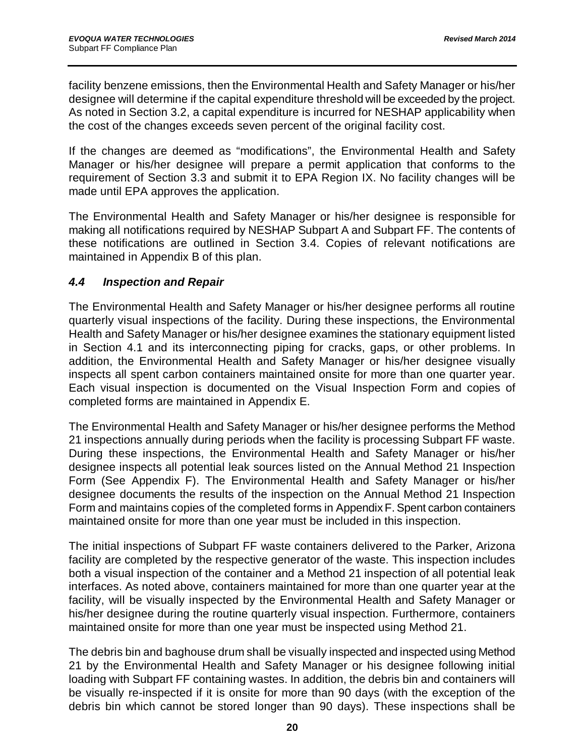facility benzene emissions, then the Environmental Health and Safety Manager or his/her designee will determine if the capital expenditure threshold will be exceeded by the project. As noted in Section 3.2, a capital expenditure is incurred for NESHAP applicability when the cost of the changes exceeds seven percent of the original facility cost.

If the changes are deemed as "modifications", the Environmental Health and Safety Manager or his/her designee will prepare a permit application that conforms to the requirement of Section 3.3 and submit it to EPA Region IX. No facility changes will be made until EPA approves the application.

The Environmental Health and Safety Manager or his/her designee is responsible for making all notifications required by NESHAP Subpart A and Subpart FF. The contents of these notifications are outlined in Section 3.4. Copies of relevant notifications are maintained in Appendix B of this plan.

#### *4.4 Inspection and Repair*

The Environmental Health and Safety Manager or his/her designee performs all routine quarterly visual inspections of the facility. During these inspections, the Environmental Health and Safety Manager or his/her designee examines the stationary equipment listed in Section 4.1 and its interconnecting piping for cracks, gaps, or other problems. In addition, the Environmental Health and Safety Manager or his/her designee visually inspects all spent carbon containers maintained onsite for more than one quarter year. Each visual inspection is documented on the Visual Inspection Form and copies of completed forms are maintained in Appendix E.

The Environmental Health and Safety Manager or his/her designee performs the Method 21 inspections annually during periods when the facility is processing Subpart FF waste. During these inspections, the Environmental Health and Safety Manager or his/her designee inspects all potential leak sources listed on the Annual Method 21 Inspection Form (See Appendix F). The Environmental Health and Safety Manager or his/her designee documents the results of the inspection on the Annual Method 21 Inspection Form and maintains copies of the completed forms in Appendix F. Spent carbon containers maintained onsite for more than one year must be included in this inspection.

The initial inspections of Subpart FF waste containers delivered to the Parker, Arizona facility are completed by the respective generator of the waste. This inspection includes both a visual inspection of the container and a Method 21 inspection of all potential leak interfaces. As noted above, containers maintained for more than one quarter year at the facility, will be visually inspected by the Environmental Health and Safety Manager or his/her designee during the routine quarterly visual inspection. Furthermore, containers maintained onsite for more than one year must be inspected using Method 21.

The debris bin and baghouse drum shall be visually inspected and inspected using Method 21 by the Environmental Health and Safety Manager or his designee following initial loading with Subpart FF containing wastes. In addition, the debris bin and containers will be visually re-inspected if it is onsite for more than 90 days (with the exception of the debris bin which cannot be stored longer than 90 days). These inspections shall be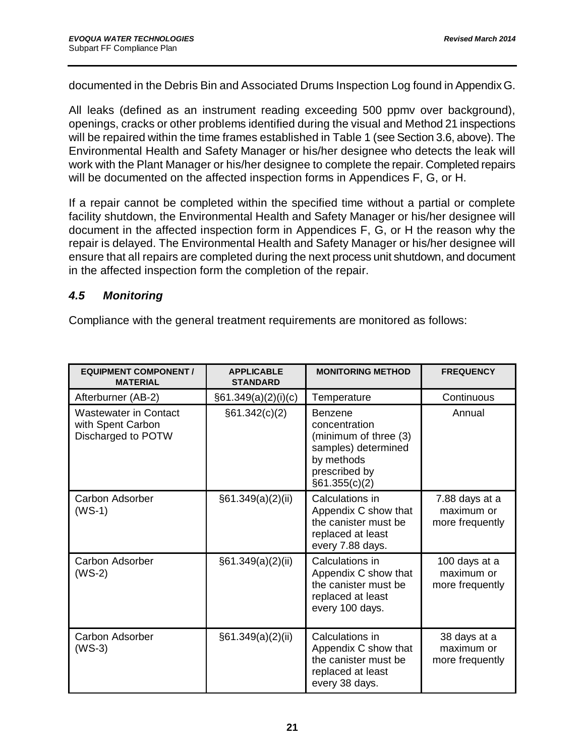documented in the Debris Bin and Associated Drums Inspection Log found in Appendix G.

All leaks (defined as an instrument reading exceeding 500 ppmv over background), openings, cracks or other problems identified during the visual and Method 21 inspections will be repaired within the time frames established in Table 1 (see Section 3.6, above). The Environmental Health and Safety Manager or his/her designee who detects the leak will work with the Plant Manager or his/her designee to complete the repair. Completed repairs will be documented on the affected inspection forms in Appendices F, G, or H.

If a repair cannot be completed within the specified time without a partial or complete facility shutdown, the Environmental Health and Safety Manager or his/her designee will document in the affected inspection form in Appendices F, G, or H the reason why the repair is delayed. The Environmental Health and Safety Manager or his/her designee will ensure that all repairs are completed during the next process unit shutdown, and document in the affected inspection form the completion of the repair.

#### *4.5 Monitoring*

Compliance with the general treatment requirements are monitored as follows:

| <b>EQUIPMENT COMPONENT /</b><br><b>MATERIAL</b>                         | <b>APPLICABLE</b><br><b>MONITORING METHOD</b><br><b>STANDARD</b> |                                                                                                                          | <b>FREQUENCY</b>                                |
|-------------------------------------------------------------------------|------------------------------------------------------------------|--------------------------------------------------------------------------------------------------------------------------|-------------------------------------------------|
| Afterburner (AB-2)                                                      | §61.349(a)(2)(i)(c)                                              | Temperature                                                                                                              | Continuous                                      |
| <b>Wastewater in Contact</b><br>with Spent Carbon<br>Discharged to POTW | §61.342(c)(2)                                                    | Benzene<br>concentration<br>(minimum of three (3)<br>samples) determined<br>by methods<br>prescribed by<br>§61.355(c)(2) | Annual                                          |
| Carbon Adsorber<br>$(WS-1)$                                             | §61.349(a)(2)(ii)                                                | Calculations in<br>Appendix C show that<br>the canister must be<br>replaced at least<br>every 7.88 days.                 | 7.88 days at a<br>maximum or<br>more frequently |
| Carbon Adsorber<br>$(WS-2)$                                             | §61.349(a)(2)(ii)                                                | Calculations in<br>Appendix C show that<br>the canister must be<br>replaced at least<br>every 100 days.                  | 100 days at a<br>maximum or<br>more frequently  |
| <b>Carbon Adsorber</b><br>$(WS-3)$                                      | §61.349(a)(2)(ii)                                                | Calculations in<br>Appendix C show that<br>the canister must be<br>replaced at least<br>every 38 days.                   | 38 days at a<br>maximum or<br>more frequently   |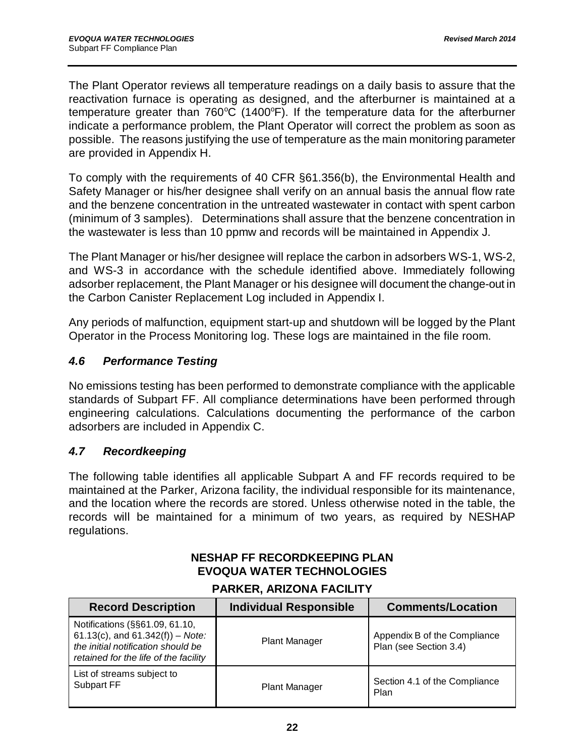The Plant Operator reviews all temperature readings on a daily basis to assure that the reactivation furnace is operating as designed, and the afterburner is maintained at a temperature greater than  $760^{\circ}$ C (1400 $^{\circ}$ F). If the temperature data for the afterburner indicate a performance problem, the Plant Operator will correct the problem as soon as possible. The reasons justifying the use of temperature as the main monitoring parameter are provided in Appendix H.

To comply with the requirements of 40 CFR §61.356(b), the Environmental Health and Safety Manager or his/her designee shall verify on an annual basis the annual flow rate and the benzene concentration in the untreated wastewater in contact with spent carbon (minimum of 3 samples). Determinations shall assure that the benzene concentration in the wastewater is less than 10 ppmw and records will be maintained in Appendix J.

The Plant Manager or his/her designee will replace the carbon in adsorbers WS-1, WS-2, and WS-3 in accordance with the schedule identified above. Immediately following adsorber replacement, the Plant Manager or his designee will document the change-out in the Carbon Canister Replacement Log included in Appendix I.

Any periods of malfunction, equipment start-up and shutdown will be logged by the Plant Operator in the Process Monitoring log. These logs are maintained in the file room.

#### *4.6 Performance Testing*

No emissions testing has been performed to demonstrate compliance with the applicable standards of Subpart FF. All compliance determinations have been performed through engineering calculations. Calculations documenting the performance of the carbon adsorbers are included in Appendix C.

#### *4.7 Recordkeeping*

The following table identifies all applicable Subpart A and FF records required to be maintained at the Parker, Arizona facility, the individual responsible for its maintenance, and the location where the records are stored. Unless otherwise noted in the table, the records will be maintained for a minimum of two years, as required by NESHAP regulations.

## **NESHAP FF RECORDKEEPING PLAN EVOQUA WATER TECHNOLOGIES**

| <b>Record Description</b>                                                                                                                            | <b>Individual Responsible</b> | <b>Comments/Location</b>                               |
|------------------------------------------------------------------------------------------------------------------------------------------------------|-------------------------------|--------------------------------------------------------|
| Notifications (§§61.09, 61.10,<br>61.13(c), and $61.342(f)$ ) – Note:<br>the initial notification should be<br>retained for the life of the facility | <b>Plant Manager</b>          | Appendix B of the Compliance<br>Plan (see Section 3.4) |
| List of streams subject to<br>Subpart FF                                                                                                             | <b>Plant Manager</b>          | Section 4.1 of the Compliance<br>Plan                  |

#### **PARKER, ARIZONA FACILITY**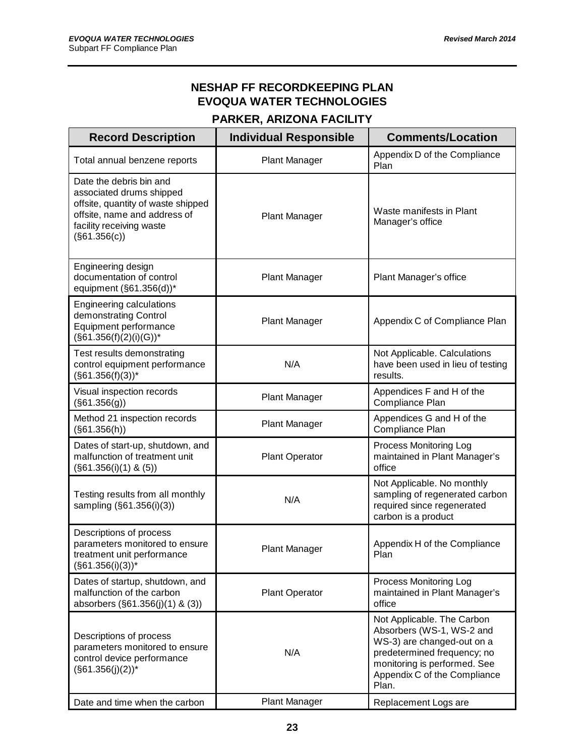#### **NESHAP FF RECORDKEEPING PLAN EVOQUA WATER TECHNOLOGIES**

#### **PARKER, ARIZONA FACILITY**

| <b>Record Description</b>                                                                                                                                                | <b>Individual Responsible</b> | <b>Comments/Location</b>                                                                                                                                                                      |
|--------------------------------------------------------------------------------------------------------------------------------------------------------------------------|-------------------------------|-----------------------------------------------------------------------------------------------------------------------------------------------------------------------------------------------|
| Total annual benzene reports                                                                                                                                             | <b>Plant Manager</b>          | Appendix D of the Compliance<br>Plan                                                                                                                                                          |
| Date the debris bin and<br>associated drums shipped<br>offsite, quantity of waste shipped<br>offsite, name and address of<br>facility receiving waste<br>$(\$61.356(c))$ | <b>Plant Manager</b>          | Waste manifests in Plant<br>Manager's office                                                                                                                                                  |
| Engineering design<br>documentation of control<br>equipment (§61.356(d))*                                                                                                | <b>Plant Manager</b>          | Plant Manager's office                                                                                                                                                                        |
| Engineering calculations<br>demonstrating Control<br>Equipment performance<br>$(\$61.356(f)(2)(i)(G))^*$                                                                 | <b>Plant Manager</b>          | Appendix C of Compliance Plan                                                                                                                                                                 |
| Test results demonstrating<br>control equipment performance<br>$(\$61.356(f)(3))$ *                                                                                      | N/A                           | Not Applicable. Calculations<br>have been used in lieu of testing<br>results.                                                                                                                 |
| Visual inspection records<br>$(\$61.356(g))$                                                                                                                             | <b>Plant Manager</b>          | Appendices F and H of the<br>Compliance Plan                                                                                                                                                  |
| Method 21 inspection records<br>(S61.356(h))                                                                                                                             | <b>Plant Manager</b>          | Appendices G and H of the<br>Compliance Plan                                                                                                                                                  |
| Dates of start-up, shutdown, and<br>malfunction of treatment unit<br>(S61.356(i)(1) & (5))                                                                               | <b>Plant Operator</b>         | Process Monitoring Log<br>maintained in Plant Manager's<br>office                                                                                                                             |
| Testing results from all monthly<br>sampling (§61.356(i)(3))                                                                                                             | N/A                           | Not Applicable. No monthly<br>sampling of regenerated carbon<br>required since regenerated<br>carbon is a product                                                                             |
| Descriptions of process<br>parameters monitored to ensure<br>treatment unit performance<br>$(\$61.356(i)(3))^*$                                                          | <b>Plant Manager</b>          | Appendix H of the Compliance<br>Plan                                                                                                                                                          |
| Dates of startup, shutdown, and<br>malfunction of the carbon<br>absorbers (§61.356(j)(1) & (3))                                                                          | <b>Plant Operator</b>         | Process Monitoring Log<br>maintained in Plant Manager's<br>office                                                                                                                             |
| Descriptions of process<br>parameters monitored to ensure<br>control device performance<br>$(\$61.356(j)(2))^*$                                                          | N/A                           | Not Applicable. The Carbon<br>Absorbers (WS-1, WS-2 and<br>WS-3) are changed-out on a<br>predetermined frequency; no<br>monitoring is performed. See<br>Appendix C of the Compliance<br>Plan. |
| Date and time when the carbon                                                                                                                                            | <b>Plant Manager</b>          | Replacement Logs are                                                                                                                                                                          |